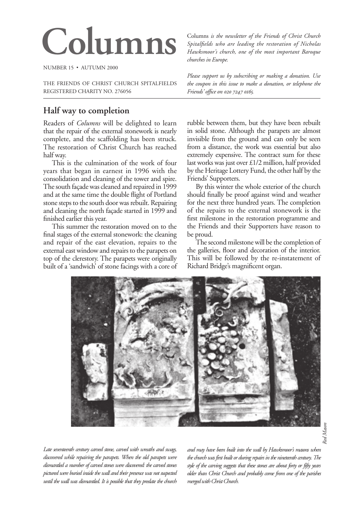# Columns *is the newsletter of the Friends of Christ Church*<br>Spitalfields who are leading the restoration of Nicholas<br>Hawksmoor's church, one of the most important Baroaue

NUMBER 15 • AUTUMN 2000

THE FRIENDS OF CHRIST CHURCH SPITALFIELDS REGISTERED CHARITY NO. 276056

## **Half way to completion**

Readers of *Columns* will be delighted to learn that the repair of the external stonework is nearly complete, and the scaffolding has been struck. The restoration of Christ Church has reached half way.

This is the culmination of the work of four years that began in earnest in 1996 with the consolidation and cleaning of the tower and spire. The south façade was cleaned and repaired in 1999 and at the same time the double flight of Portland stone steps to the south door was rebuilt. Repairing and cleaning the north façade started in 1999 and finished earlier this year.

This summer the restoration moved on to the final stages of the external stonework: the cleaning and repair of the east elevation, repairs to the external east window and repairs to the parapets on top of the clerestory. The parapets were originally built of a 'sandwich' of stone facings with a core of *Spitalfields who are leading the restoration of Nicholas Hawksmoor's church, one of the most important Baroque churches in Europe.*

*Please support us by subscribing or making a donation. Use the coupon in this issue to make a donation, or telephone the Friends' office on 020 7247 0165.* 

rubble between them, but they have been rebuilt in solid stone. Although the parapets are almost invisible from the ground and can only be seen from a distance, the work was essential but also extremely expensive. The contract sum for these last works was just over £1/2 million, half provided by the Heritage Lottery Fund, the other half by the Friends' Supporters.

By this winter the whole exterior of the church should finally be proof against wind and weather for the next three hundred years. The completion of the repairs to the external stonework is the first milestone in the restoration programme and the Friends and their Supporters have reason to be proud.

The second milestone will be the completion of the galleries, floor and decoration of the interior. This will be followed by the re-instatement of Richard Bridge's magnificent organ.



*Late seventeenth century carved stone, carved with wreaths and swags, discovered while repairing the parapets. When the old parapets were dismantled a number of carved stones were discovered: the carved stones pictured were buried inside the wall and their presence was not suspected until the wall was dismantled. It is possible that they predate the church*  *and may have been built into the wall by Hawksmoor's masons when the church was first built or during repairs in the nineteenth century. The style of the carving suggests that these stones are about forty or fifty years older than Christ Church and probably come from one of the parishes merged with Christ Church.*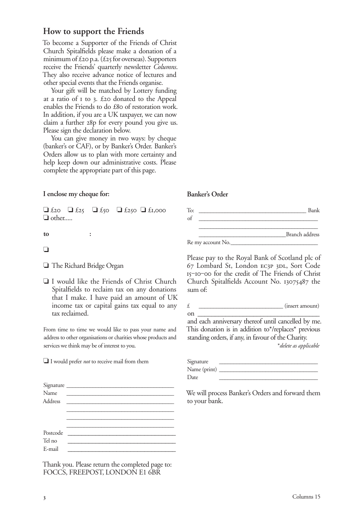# **How to support the Friends**

To become a Supporter of the Friends of Christ Church Spitalfields please make a donation of a minimum of  $\text{\pounds}$ 20 p.a. ( $\text{\pounds}$ 25 for overseas). Supporters receive the Friends' quarterly newsletter *Columns*. They also receive advance notice of lectures and other special events that the Friends organise.

Your gift will be matched by Lottery funding at a ratio of  $I$  to  $3$ . £20 donated to the Appeal enables the Friends to do £80 of restoration work. In addition, if you are a UK taxpayer, we can now claim a further 28p for every pound you give us. Please sign the declaration below.

You can give money in two ways: by cheque (banker's or CAF), or by Banker's Order. Banker's Orders allow us to plan with more certainty and help keep down our administrative costs. Please complete the appropriate part of this page.

## **I enclose my cheque for:**

 $\Box$  £20  $\Box$  £250  $\Box$  £1,000 ❏ other.....

to :

### ❏ ������ ������ ������������

❏ The Richard Bridge Organ

❏ I would like the Friends of Christ Church Spitalfields to reclaim tax on any donations that I make. I have paid an amount of UK income tax or capital gains tax equal to any tax reclaimed.

From time to time we would like to pass your name and address to other organisations or charities whose products and services we think may be of interest to you.

❏ I would prefer *not* to receive mail from them

| Name<br>Address | Signature |
|-----------------|-----------|
|                 |           |
|                 |           |
|                 |           |
|                 |           |
|                 |           |
| Postcode        |           |
| Tel no          |           |
| E-mail          |           |

Thank you. Please return the completed page to: FOCCS, FREEPOST, LONDON E1 6BR

#### **Banker's Order**

To: \_\_\_\_\_\_\_\_\_\_\_\_\_\_\_\_\_\_\_\_\_\_\_\_\_\_\_\_\_\_\_\_\_\_\_\_\_ Bank  $\circ$  f Branch address Re my account No.

Please pay to the Royal Bank of Scotland plc of 67 Lombard St, London EC3P 3DL, Sort Code 15-10-00 for the credit of The Friends of Christ Church Spitalfields Account No. 13075487 the sum of:

 $\mathbf{E}$  (insert amount)

on  $\overline{\phantom{a}}$ and each anniversary thereof until cancelled by me. This donation is in addition to\*/replaces\* previous standing orders, if any, in favour of the Charity.

\**delete as applicable*

| Signature    |  |
|--------------|--|
| Name (print) |  |
| Date         |  |

We will process Banker's Orders and forward them to your bank.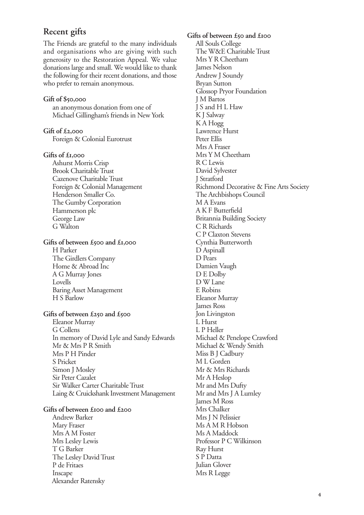## **Recent gifts**

The Friends are grateful to the many individuals and organisations who are giving with such generosity to the Restoration Appeal. We value donations large and small. We would like to thank the following for their recent donations, and those who prefer to remain anonymous.

**Gift of \$,** an anonymous donation from one of Michael Gillingham's friends in New York

**Gift of £,** Foreign & Colonial Eurotrust

**Gifts of £,**

 Ashurst Morris Crisp Brook Charitable Trust Cazenove Charitable Trust Foreign & Colonial Management Henderson Smaller Co. The Gumby Corporation Hammerson plc George Law G Walton

#### **Gifts of between £500 and £1,000**

 H Parker The Girdlers Company Home & Abroad Inc A G Murray Jones Lovells Baring Asset Management H S Barlow

#### Gifts of between £250 and £500

 Eleanor Murray G Collens In memory of David Lyle and Sandy Edwards Mr & Mrs P R Smith Mrs P H Pinder S Pricket Simon J Mosley Sir Peter Cazalet Sir Walker Carter Charitable Trust Laing & Cruickshank Investment Management

#### Gifts of between £100 and £200

 Andrew Barker Mary Fraser Mrs A M Foster Mrs Lesley Lewis T G Barker The Lesley David Trust P de Fritaes Inscape Alexander Ratensky

Gifts of between £50 and £100 All Souls College The W&E Charitable Trust Mrs Y R Cheetham James Nelson Andrew J Soundy Bryan Sutton Glossop Pryor Foundation J M Bartos J S and H L Haw K J Salway K A Hogg Lawrence Hurst Peter Ellis Mrs A Fraser Mrs Y M Cheetham R C Lewis David Sylvester J Stratford Richmond Decorative & Fine Arts Society The Archbishops Council M A Evans A K F Butterfield Britannia Building Society C R Richards C P Claxton Stevens Cynthia Butterworth D Aspinall D Pears Damien Vaugh D E Dolby D W Lane E Robins Eleanor Murray James Ross Jon Livingston L Hurst L P Heller Michael & Penelope Crawford Michael & Wendy Smith Miss B J Cadbury M L Gorden Mr & Mrs Richards Mr A Heslop Mr and Mrs Dufty Mr and Mrs J A Lumley James M Ross Mrs Chalker Mrs J N Pelissier Ms A M R Hobson Ms A Maddock Professor P C Wilkinson Ray Hurst S P Datta Julian Glover Mrs R Legge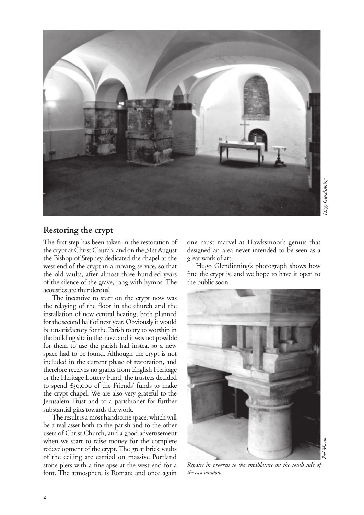

## **Restoring the crypt**

The first step has been taken in the restoration of the crypt at Christ Church; and on the 31st August the Bishop of Stepney dedicated the chapel at the west end of the crypt in a moving service, so that the old vaults, after almost three hundred years of the silence of the grave, rang with hymns. The acoustics are thunderous!

The incentive to start on the crypt now was the relaying of the floor in the church and the installation of new central heating, both planned for the second half of next year. Obviously it would be unsatisfactory for the Parish to try to worship in the building site in the nave; and it was not possible for them to use the parish hall instea, so a new space had to be found. Although the crypt is not included in the current phase of restoration, and therefore receives no grants from English Heritage or the Heritage Lottery Fund, the trustees decided to spend  $\pounds$ 30,000 of the Friends' funds to make the crypt chapel. We are also very grateful to the Jerusalem Trust and to a parishioner for further substantial gifts towards the work.

The result is a most handsome space, which will be a real asset both to the parish and to the other users of Christ Church, and a good advertisement when we start to raise money for the complete redevelopment of the crypt. The great brick vaults of the ceiling are carried on massive Portland stone piers with a fine apse at the west end for a font. The atmosphere is Roman; and once again

one must marvel at Hawksmoor's genius that designed an area never intended to be seen as a great work of art.

Hugo Glendinning's photograph shows how fine the crypt is; and we hope to have it open to the public soon.



*Repairs in progress to the entablature on the south side of the east window.*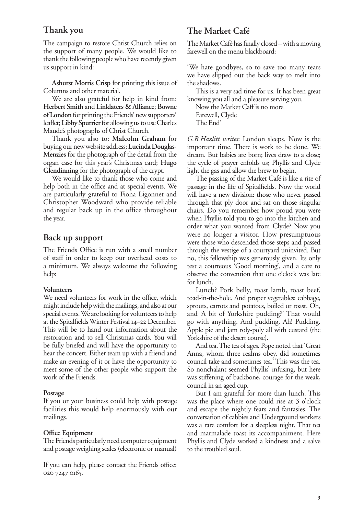## **Thank you**

The campaign to restore Christ Church relies on the support of many people. We would like to thank the following people who have recently given us support in kind:

**Ashurst Morris Crisp** for printing this issue of Columns and other material.

We are also grateful for help in kind from: **Herbert Smith** and **Linklaters & Alliance**; **Bowne of London** for printing the Friends' new supporters' leaflet; **Libby Spurrier** for allowing us to use Charles Maude's photographs of Christ Church.

Thank you also to: **Malcolm Graham** for buying our new website address; **Lucinda Douglas-Menzies** for the photograph of the detail from the organ case for this year's Christmas card; **Hugo Glendinning** for the photograph of the crypt.

We would like to thank those who come and help both in the office and at special events. We are particularly grateful to Fiona Ligonnet and Christopher Woodward who provide reliable and regular back up in the office throughout the year.

## **Back up support**

The Friends Office is run with a small number of staff in order to keep our overhead costs to a minimum. We always welcome the following help:

#### **Volunteers**

We need volunteers for work in the office, which might include help with the mailings, and also at our special events. We are looking for volunteers to help at the Spitalfields Winter Festival 14-22 December. This will be to hand out information about the restoration and to sell Christmas cards. You will be fully briefed and will have the opportunity to hear the concert. Either team up with a friend and make an evening of it or have the opportunity to meet some of the other people who support the work of the Friends.

#### **Postage**

If you or your business could help with postage facilities this would help enormously with our mailings.

#### **Office Equipment**

The Friends particularly need computer equipment and postage weighing scales (electronic or manual)

If you can help, please contact the Friends office: 020 7247 0165.

# **The Market Café**

The Market Café has finally closed – with a moving farewell on the menu blackboard:

'We hate goodbyes, so to save too many tears we have slipped out the back way to melt into the shadows.

This is a very sad time for us. It has been great knowing you all and a pleasure serving you.

Now the Market Caff is no more Farewell, Clyde The End'

*G.B.Hazlitt writes*: London sleeps. Now is the important time. There is work to be done. We dream. But babies are born; lives draw to a close; the cycle of prayer enfolds us; Phyllis and Clyde light the gas and allow the brew to begin.

The passing of the Market Café is like a rite of passage in the life of Spitalfields. Now the world will have a new division: those who never passed through that ply door and sat on those singular chairs. Do you remember how proud you were when Phyllis told you to go into the kitchen and order what you wanted from Clyde? Now you were no longer a visitor. How presumptuous were those who descended those steps and passed through the vestige of a courtyard uninvited. But no, this fellowship was generously given. Its only test a courteous 'Good morning', and a care to observe the convention that one o'clock was late for lunch.

Lunch? Pork belly, roast lamb, roast beef, toad-in-the-hole. And proper vegetables: cabbage, sprouts, carrots and potatoes, boiled or roast. Oh, and 'A bit of Yorkshire pudding?' That would go with anything. And pudding. Ah! Pudding. Apple pie and jam roly-poly all with custard (the Yorkshire of the desert course).

And tea. The tea of ages. Pope noted that 'Great Anna, whom three realms obey, did sometimes council take and sometimes tea.' This was the tea. So nonchalant seemed Phyllis' infusing, but here was stiffening of backbone, courage for the weak, council in an aged cup.

But I am grateful for more than lunch. This was the place where one could rise at 3 o'clock and escape the nightly fears and fantasies. The conversation of cabbies and Underground workers was a rare comfort for a sleepless night. That tea and marmalade toast its accompaniment. Here Phyllis and Clyde worked a kindness and a salve to the troubled soul.